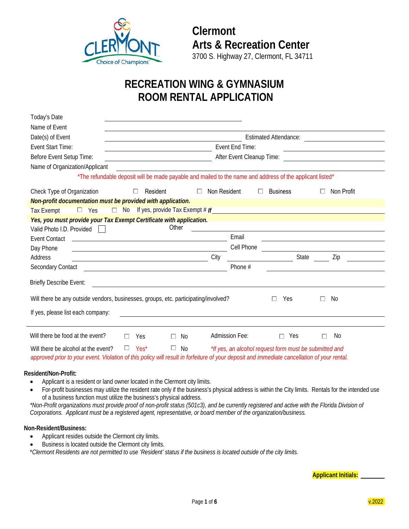

# **RECREATION WING & GYMNASIUM ROOM RENTAL APPLICATION**

| Today's Date                                                                                                                                  |                                                                                                                                                        |                   |                |                                                        |                                                                                                                       |  |
|-----------------------------------------------------------------------------------------------------------------------------------------------|--------------------------------------------------------------------------------------------------------------------------------------------------------|-------------------|----------------|--------------------------------------------------------|-----------------------------------------------------------------------------------------------------------------------|--|
| Name of Event                                                                                                                                 |                                                                                                                                                        |                   |                |                                                        |                                                                                                                       |  |
| Date(s) of Event                                                                                                                              | <b>Estimated Attendance:</b><br><u> 1980 - Johann Stoff, deutscher Stoffen und der Stoffen und der Stoffen und der Stoffen und der Stoffen und der</u> |                   |                |                                                        |                                                                                                                       |  |
| Event Start Time:                                                                                                                             | Event End Time:<br>the contract of the contract of the contract of the contract of the contract of                                                     |                   |                |                                                        |                                                                                                                       |  |
| Before Event Setup Time:                                                                                                                      | After Event Cleanup Time:                                                                                                                              |                   |                |                                                        |                                                                                                                       |  |
| Name of Organization/Applicant                                                                                                                |                                                                                                                                                        |                   |                |                                                        |                                                                                                                       |  |
|                                                                                                                                               | *The refundable deposit will be made payable and mailed to the name and address of the applicant listed*                                               |                   |                |                                                        |                                                                                                                       |  |
| Check Type of Organization                                                                                                                    | Resident<br>$\Box$                                                                                                                                     | Non Resident<br>ш | $\Box$         | <b>Business</b>                                        | Non Profit                                                                                                            |  |
| Non-profit documentation must be provided with application.                                                                                   |                                                                                                                                                        |                   |                |                                                        |                                                                                                                       |  |
| <b>Tax Exempt</b><br>$\Box$ Yes                                                                                                               |                                                                                                                                                        |                   |                |                                                        |                                                                                                                       |  |
| Yes, you must provide your Tax Exempt Certificate with application.                                                                           |                                                                                                                                                        |                   |                |                                                        |                                                                                                                       |  |
| Valid Photo I.D. Provided                                                                                                                     | Other                                                                                                                                                  |                   |                |                                                        | <u> 1989 - Jan Samuel Barbara, margaret e populari e populari e populari e populari e populari e populari e popu</u>  |  |
| <b>Event Contact</b><br><u> 1989 - Andrea Barbara, amerikan personal dan personal dan personal dan personal dan personal dan personal dan</u> |                                                                                                                                                        |                   | Email          |                                                        | <u> 1989 - Johann Barbara, martin amerikan basar dan berasal dan berasal dalam basar dalam basar dalam basar dala</u> |  |
| Day Phone                                                                                                                                     |                                                                                                                                                        |                   | Cell Phone     |                                                        |                                                                                                                       |  |
| Address                                                                                                                                       | <u> 1989 - Johann Barn, fransk politik amerikansk politik (d. 1989)</u>                                                                                | City              |                | State                                                  | Zip                                                                                                                   |  |
| Secondary Contact                                                                                                                             | <u> 1989 - Johann Stein, fransk politik (d. 1989)</u>                                                                                                  |                   | Phone $#$      |                                                        |                                                                                                                       |  |
|                                                                                                                                               |                                                                                                                                                        |                   |                |                                                        |                                                                                                                       |  |
| <b>Briefly Describe Event:</b>                                                                                                                |                                                                                                                                                        |                   |                |                                                        |                                                                                                                       |  |
| Will there be any outside vendors, businesses, groups, etc. participating/involved?                                                           |                                                                                                                                                        |                   |                | Yes                                                    | No.<br>П                                                                                                              |  |
|                                                                                                                                               |                                                                                                                                                        |                   |                |                                                        |                                                                                                                       |  |
| If yes, please list each company:                                                                                                             |                                                                                                                                                        |                   |                |                                                        |                                                                                                                       |  |
| Will there be food at the event?<br>п                                                                                                         | Yes                                                                                                                                                    | No                | Admission Fee: | Yes<br>П                                               | No.                                                                                                                   |  |
| Will there be alcohol at the event?<br>О.                                                                                                     | Yes <sup>*</sup><br>O.                                                                                                                                 | No.               |                | *If yes, an alcohol request form must be submitted and |                                                                                                                       |  |
| approved prior to your event. Violation of this policy will result in forfeiture of your deposit and immediate cancellation of your rental.   |                                                                                                                                                        |                   |                |                                                        |                                                                                                                       |  |

#### **Resident/Non-Profit:**

- Applicant is a resident or land owner located in the Clermont city limits.
- For-profit businesses may utilize the resident rate only if the business's physical address is within the City limits. Rentals for the intended use of a business function must utilize the business's physical address.

*\*Non-Profit organizations must provide proof of non-profit status (501c3), and be currently registered and active with the Florida Division of Corporations. Applicant must be a registered agent, representative, or board member of the organization/business.*

#### **Non-Resident/Business:**

- Applicant resides outside the Clermont city limits.
- Business is located outside the Clermont city limits.

\**Clermont Residents are not permitted to use 'Resident' status if the business is located outside of the city limits.*

**Applicant Initials:**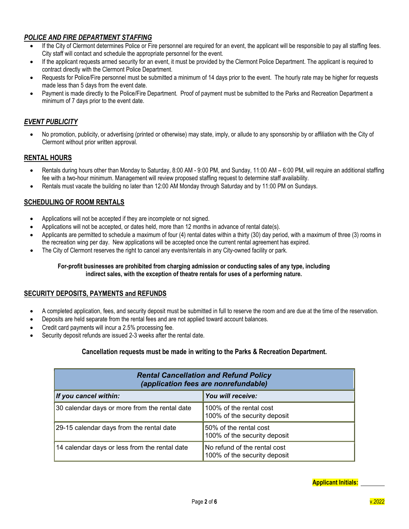# *POLICE AND FIRE DEPARTMENT STAFFING*

- If the City of Clermont determines Police or Fire personnel are required for an event, the applicant will be responsible to pay all staffing fees. City staff will contact and schedule the appropriate personnel for the event.
- If the applicant requests armed security for an event, it must be provided by the Clermont Police Department. The applicant is required to contract directly with the Clermont Police Department.
- Requests for Police/Fire personnel must be submitted a minimum of 14 days prior to the event. The hourly rate may be higher for requests made less than 5 days from the event date.
- Payment is made directly to the Police/Fire Department. Proof of payment must be submitted to the Parks and Recreation Department a minimum of 7 days prior to the event date.

# *EVENT PUBLICITY*

• No promotion, publicity, or advertising (printed or otherwise) may state, imply, or allude to any sponsorship by or affiliation with the City of Clermont without prior written approval.

# **RENTAL HOURS**

- Rentals during hours other than Monday to Saturday, 8:00 AM 9:00 PM, and Sunday, 11:00 AM 6:00 PM, will require an additional staffing fee with a two-hour minimum. Management will review proposed staffing request to determine staff availability.
- Rentals must vacate the building no later than 12:00 AM Monday through Saturday and by 11:00 PM on Sundays.

# **SCHEDULING OF ROOM RENTALS**

- Applications will not be accepted if they are incomplete or not signed.
- Applications will not be accepted, or dates held, more than 12 months in advance of rental date(s).
- Applicants are permitted to schedule a maximum of four (4) rental dates within a thirty (30) day period, with a maximum of three (3) rooms in the recreation wing per day. New applications will be accepted once the current rental agreement has expired.
- The City of Clermont reserves the right to cancel any events/rentals in any City-owned facility or park.

#### **For-profit businesses are prohibited from charging admission or conducting sales of any type, including indirect sales, with the exception of theatre rentals for uses of a performing nature.**

# **SECURITY DEPOSITS, PAYMENTS and REFUNDS**

- A completed application, fees, and security deposit must be submitted in full to reserve the room and are due at the time of the reservation.
- Deposits are held separate from the rental fees and are not applied toward account balances.
- Credit card payments will incur a 2.5% processing fee.
- Security deposit refunds are issued 2-3 weeks after the rental date.

#### **Cancellation requests must be made in writing to the Parks & Recreation Department.**

| <b>Rental Cancellation and Refund Policy</b><br>(application fees are nonrefundable) |                                                              |  |  |  |
|--------------------------------------------------------------------------------------|--------------------------------------------------------------|--|--|--|
| If you cancel within:                                                                | You will receive:                                            |  |  |  |
| 30 calendar days or more from the rental date                                        | 100% of the rental cost<br>100% of the security deposit      |  |  |  |
| 29-15 calendar days from the rental date                                             | 50% of the rental cost<br>100% of the security deposit       |  |  |  |
| 14 calendar days or less from the rental date                                        | No refund of the rental cost<br>100% of the security deposit |  |  |  |

**Applicant Initials:**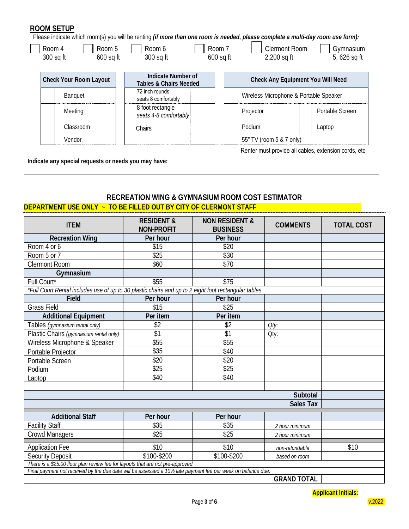# **ROOM SETUP**

 $\overline{\phantom{a}}$ 

Please indicate which room(s) you will be renting *(if more than one room is needed, please complete a multi-day room use form):*

| Room 5<br>Room 4<br>300 sq ft<br>$600$ sq ft | Room 6<br>300 sq ft                                     | Room 7<br><b>Clermont Room</b><br>$600$ sq ft<br>$2,200$ sq ft | Gymnasium<br>5, 626 sq ft                |  |  |
|----------------------------------------------|---------------------------------------------------------|----------------------------------------------------------------|------------------------------------------|--|--|
| <b>Check Your Room Layout</b>                | Indicate Number of<br><b>Tables &amp; Chairs Needed</b> |                                                                | <b>Check Any Equipment You Will Need</b> |  |  |
| <b>Banguet</b>                               | 72 inch rounds<br>seats 8 comfortably                   |                                                                | Wireless Microphone & Portable Speaker   |  |  |
| Meeting                                      | 8 foot rectangle<br>seats 4-8 comfortably               | Projector                                                      | Portable Screen                          |  |  |
| Classroom                                    | Chairs                                                  | Podium                                                         | Laptop                                   |  |  |
| Vendor                                       |                                                         |                                                                | 55" TV (room 5 & 7 only)                 |  |  |

Renter must provide all cables, extension cords, etc

**Indicate any special requests or needs you may have:**

# **RECREATION WING & GYMNASIUM ROOM COST ESTIMATOR DEPARTMENT USE ONLY ~ TO BE FILLED OUT BY CITY OF CLERMONT STAFF**

| <b>ITEM</b>                                                                                                 | <b>RESIDENT &amp;</b><br><b>NON-PROFIT</b> | <b>NON RESIDENT &amp;</b><br><b>BUSINESS</b> | <b>COMMENTS</b> | <b>TOTAL COST</b> |
|-------------------------------------------------------------------------------------------------------------|--------------------------------------------|----------------------------------------------|-----------------|-------------------|
| <b>Recreation Wing</b>                                                                                      | Per hour                                   | Per hour                                     |                 |                   |
| Room 4 or 6                                                                                                 | \$15                                       | \$20                                         |                 |                   |
| Room 5 or 7                                                                                                 | $\overline{$25}$                           | \$30                                         |                 |                   |
| <b>Clermont Room</b>                                                                                        | \$60                                       | \$70                                         |                 |                   |
| Gymnasium                                                                                                   |                                            |                                              |                 |                   |
| Full Court*                                                                                                 | \$55                                       | \$75                                         |                 |                   |
| *Full Court Rental includes use of up to 30 plastic chairs and up to 2 eight foot rectangular tables        |                                            |                                              |                 |                   |
| Field                                                                                                       | Per hour                                   | Per hour                                     |                 |                   |
| <b>Grass Field</b>                                                                                          | \$15                                       | \$25                                         |                 |                   |
| <b>Additional Equipment</b>                                                                                 | Per item                                   | Per item                                     |                 |                   |
| Tables (gymnasium rental only)                                                                              | \$2                                        | \$2                                          | Oty:            |                   |
| Plastic Chairs (gymnasium rental only)                                                                      | \$1                                        | \$1                                          | Oty:            |                   |
| Wireless Microphone & Speaker                                                                               | \$55                                       | \$55                                         |                 |                   |
| Portable Projector                                                                                          | \$35                                       | \$40                                         |                 |                   |
| Portable Screen                                                                                             | \$20                                       | \$20                                         |                 |                   |
| Podium                                                                                                      | \$25                                       | \$25                                         |                 |                   |
| Laptop                                                                                                      | \$40                                       | \$40                                         |                 |                   |
|                                                                                                             |                                            |                                              |                 |                   |
| Subtotal                                                                                                    |                                            |                                              |                 |                   |
| <b>Sales Tax</b>                                                                                            |                                            |                                              |                 |                   |
| <b>Additional Staff</b>                                                                                     | Per hour                                   | Per hour                                     |                 |                   |
| <b>Facility Staff</b>                                                                                       | \$35                                       | \$35                                         | 2 hour minimum  |                   |
| <b>Crowd Managers</b>                                                                                       | \$25                                       | \$25                                         | 2 hour minimum  |                   |
| <b>Application Fee</b>                                                                                      | \$10                                       | \$10                                         | non-refundable  | \$10              |
| <b>Security Deposit</b>                                                                                     | \$100-\$200                                | \$100-\$200                                  | based on room   |                   |
| There is a \$25.00 floor plan review fee for layouts that are not pre-approved.                             |                                            |                                              |                 |                   |
| Final payment not received by the due date will be assessed a 10% late payment fee per week on balance due. |                                            |                                              |                 |                   |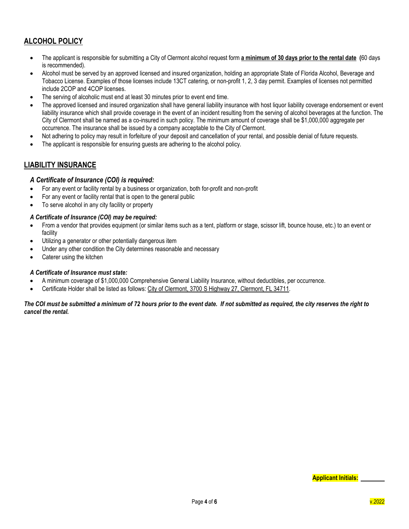# **ALCOHOL POLICY**

- The applicant is responsible for submitting a City of Clermont alcohol request form **a minimum of 30 days prior to the rental date (**60 days is recommended).
- Alcohol must be served by an approved licensed and insured organization, holding an appropriate State of Florida Alcohol, Beverage and Tobacco License. Examples of those licenses include 13CT catering, or non-profit 1, 2, 3 day permit. Examples of licenses not permitted include 2COP and 4COP licenses.
- The serving of alcoholic must end at least 30 minutes prior to event end time.
- The approved licensed and insured organization shall have general liability insurance with host liquor liability coverage endorsement or event liability insurance which shall provide coverage in the event of an incident resulting from the serving of alcohol beverages at the function. The City of Clermont shall be named as a co-insured in such policy. The minimum amount of coverage shall be \$1,000,000 aggregate per occurrence. The insurance shall be issued by a company acceptable to the City of Clermont.
- Not adhering to policy may result in forfeiture of your deposit and cancellation of your rental, and possible denial of future requests.
- The applicant is responsible for ensuring quests are adhering to the alcohol policy.

# **LIABILITY INSURANCE**

# *A Certificate of Insurance (COI) is required:*

- For any event or facility rental by a business or organization, both for-profit and non-profit
- For any event or facility rental that is open to the general public
- To serve alcohol in any city facility or property

#### *A Certificate of Insurance (COI) may be required:*

- From a vendor that provides equipment (or similar items such as a tent, platform or stage, scissor lift, bounce house, etc.) to an event or facility
- Utilizing a generator or other potentially dangerous item
- Under any other condition the City determines reasonable and necessary
- Caterer using the kitchen

#### *A Certificate of Insurance must state:*

- A minimum coverage of \$1,000,000 Comprehensive General Liability Insurance, without deductibles, per occurrence.
- Certificate Holder shall be listed as follows: City of Clermont, 3700 S Highway 27, Clermont, FL 34711.

#### *The COI must be submitted a minimum of 72 hours prior to the event date. If not submitted as required, the city reserves the right to cancel the rental.*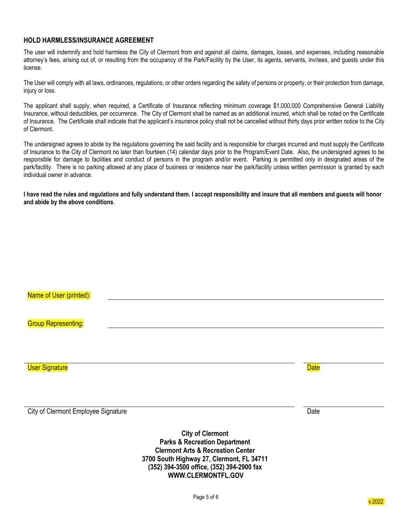#### **HOLD HARMLESS/INSURANCE AGREEMENT**

The user will indemnify and hold harmless the City of Clermont from and against all claims, damages, losses, and expenses, including reasonable attorney's fees, arising out of, or resulting from the occupancy of the Park/Facility by the User, its agents, servants, invitees, and guests under this license.

The User will comply with all laws, ordinances, regulations, or other orders regarding the safety of persons or property, or their protection from damage, injury or loss.

The applicant shall supply, when required, a Certificate of Insurance reflecting minimum coverage \$1,000,000 Comprehensive General Liability Insurance, without deductibles, per occurrence. The City of Clermont shall be named as an additional insured, which shall be noted on the Certificate of Insurance. The Certificate shall indicate that the applicant's insurance policy shall not be cancelled without thirty days prior written notice to the City of Clermont.

The undersigned agrees to abide by the regulations governing the said facility and is responsible for charges incurred and must supply the Certificate of Insurance to the City of Clermont no later than fourteen (14) calendar days prior to the Program/Event Date. Also, the undersigned agrees to be responsible for damage to facilities and conduct of persons in the program and/or event. Parking is permitted only in designated areas of the park/facility. There is no parking allowed at any place of business or residence near the park/facility unless written permission is granted by each individual owner in advance.

**I have read the rules and regulations and fully understand them. I accept responsibility and insure that all members and guests will honor and abide by the above conditions**.

| Name of User (printed):                    |             |
|--------------------------------------------|-------------|
|                                            |             |
| <b>Group Representing:</b>                 |             |
|                                            |             |
|                                            |             |
| <b>User Signature</b>                      | <b>Date</b> |
|                                            |             |
| <b>City of Clermont Employee Signature</b> | Date        |

**City of Clermont Parks & Recreation Department Clermont Arts & Recreation Center 3700 South Highway 27, Clermont, FL 34711 (352) 394-3500 office, (352) 394-2900 fax WWW.CLERMONTFL.GOV**

v.2022